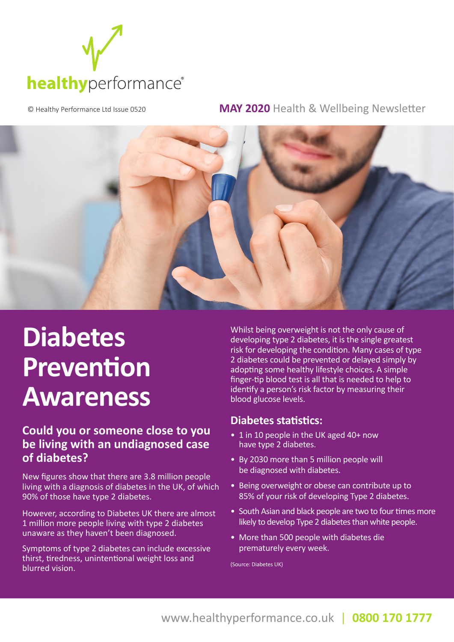

© Healthy Performance Ltd Issue 0520 **MAY 2020** Health & Wellbeing Newsletter



## **Diabetes Prevention Awareness**

### **Could you or someone close to you be living with an undiagnosed case of diabetes?**

New figures show that there are 3.8 million people living with a diagnosis of diabetes in the UK, of which 90% of those have type 2 diabetes.

However, according to Diabetes UK there are almost 1 million more people living with type 2 diabetes unaware as they haven't been diagnosed.

Symptoms of type 2 diabetes can include excessive thirst, tiredness, unintentional weight loss and blurred vision.

Whilst being overweight is not the only cause of developing type 2 diabetes, it is the single greatest risk for developing the condition. Many cases of type 2 diabetes could be prevented or delayed simply by adopting some healthy lifestyle choices. A simple finger-tip blood test is all that is needed to help to identify a person's risk factor by measuring their blood glucose levels.

#### **Diabetes statistics:**

- 1 in 10 people in the UK aged 40+ now have type 2 diabetes.
- By 2030 more than 5 million people will be diagnosed with diabetes.
- Being overweight or obese can contribute up to 85% of your risk of developing Type 2 diabetes.
- South Asian and black people are two to four times more likely to develop Type 2 diabetes than white people.
- More than 500 people with diabetes die prematurely every week.

(Source: Diabetes UK)